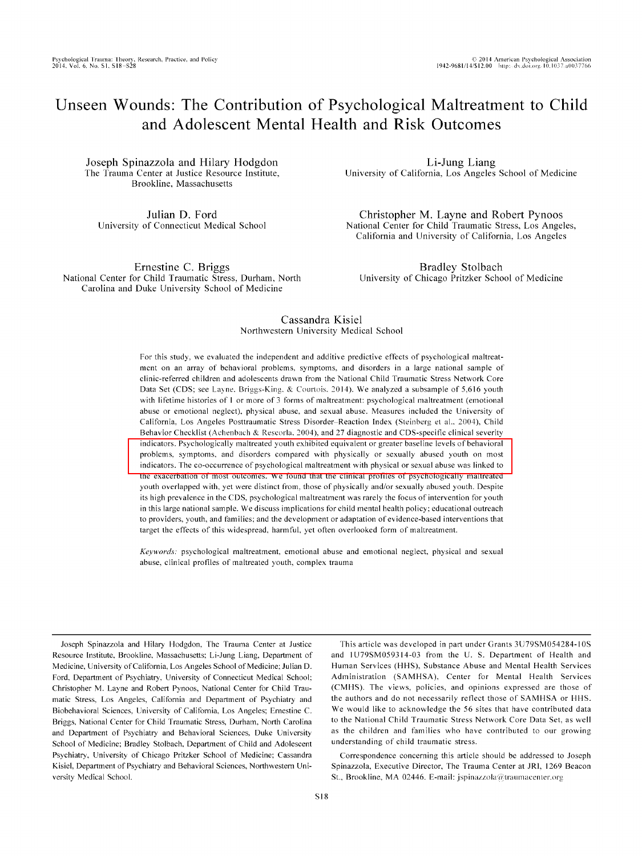# Unseen Wounds: The Contribution of Psychological Maltreatment to Child and Adolescent Mental Health and Risk Outcomes

Joseph Spinazzola and Hilary Hodgdon The Trauma Center at Justice Resource Institute, Brookline, Massachusetts

Julian D. Ford University of Connecticut Medical School

Ernestine C. Briggs National Center for Child Traumatic Stress, Durham, North Carolina and Duke University School of Medicine

Li-Jung Liang University of California, Los Angeles School of Medicine

Christopher M. Layne and Robert Pynoos National Center for Child Traumatic Stress, Los Angeles, California and University of California, Los Angeles

Bradley Stolbach University of Chicago Pritzker School of Medicine

#### Cassandra Kisiel Northwestern University Medical School

For this study, we evaluated the independent and additive predictive effects of psychological maltreatment on an array of behavioral problems, symptoms, and disorders in a large national sample of clinic-referred children and adolescents drawn from the National Child Traumatic Stress Network Core Data Set (CDS; see Layne. Briggs-King. & Courtois. 2014). We analyzed a subsample of 5,616 youth with lifetime histories of I or more of 3 forms of maltreatment: psychological maltreatment (emotional abuse or emotional neglect), physical abuse, and sexual abuse. Measures included the University of California, Los Angeles Posttraumatic Stress Disorder-Reaction Index (Steinberg et al., 2004), Child Behavior Checklist (Achenhach & Rescorla. 2004), and 27 diagnostic and CDS-specific clinical severity indicators. Psychologically maltreated youth exhibited equivalent or greater baseline levels of behavioral problems, symptoms, and disorders compared with physically or sexually abused youth on most indicators. The co-occurrence of psychological maltreatment with physical or sexual abuse was linked to the exacerbation of most outcomes. We found that the clinical profiles of psychologically maltreated youth overlapped with, yet were distinct from, those of physically and/or sexually abused youth. Despite its high prevalence in the CDS, psychological maltreatment was rarely the focus of intervention for youth in this large national sample. We discuss implications for child mental health policy; educational outreach to providers, youth, and families; and the development or adaptation of evidence-based interventions that target the effects of this widespread, harmful, yet often overlooked form of maltreatment.

*Keywords.* psychological maltreatment, emotional abuse and emotional neglect, physical and sexual abuse, clinical profiles of maltreated youth, complex trauma

Joseph Spinazzola and Hilary Hodgdon, The Trauma Center at Justice Resource Institute, Brookline, Massachusetts; Li-Jung Liang, Department of Medicine, University of California, Los Angeles School of Medicine; Julian D. Ford, Department of Psychiatry, University of Connecticut Medical School; Christopher M. Layne and Robert Pynoos, National Center for Child Traumatic Stress, Los Angeles, California and Department of Psychiatry and Biobehavioral Sciences, University of California, Los Angeles; Ernestine C. Briggs, National Center for Child Traumatic Stress, Durham, North Carolina and Department of Psychiatry and Behavioral Sciences, Duke University School of Medicine; Bradley Stolbach, Department of Child and Adolescent Psychiatry, University of Chicago Pritzker School of Medicine; Cassandra Kisiel, Department of Psychiatry and Behavioral Sciences, Northwestern University Medical School.

This article was developed in part under Grants 3U795M054284-1OS and 1U79SM059314-03 from the U. S. Department of Health and Human Services (HITS), Substance Abuse and Mental Health Services Administration (SAMHSA), Center for Mental Health Services (CMHS). The views, policies, and opinions expressed are those of the authors and do not necessarily reflect those of SAMHSA or HHS. We would like to acknowledge the *56* sites that have contributed data to the National Child Traumatic Stress Network Core Data Set, as well as the children and families who have contributed to our growing understanding of child traumatic stress.

Correspondence concerning this article should be addressed to Joseph Spinazzola, Executive Director, The Trauma Center at JRI, 1269 Beacon St., Brookline, MA 02446. E-mail: jspinazzola@traumacenter.org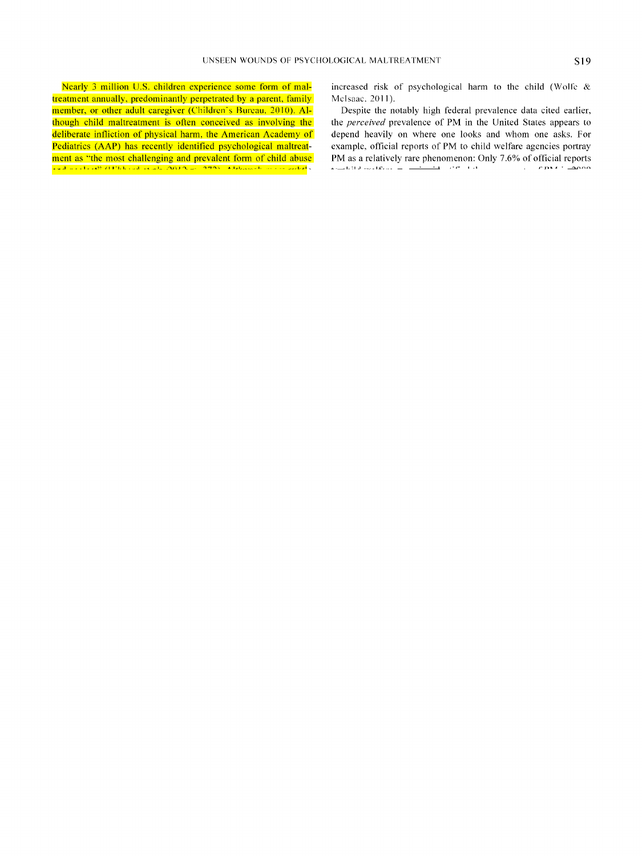Nearly 3 million U.S. children experience some form of maltreatment annually, predominantly perpetrated by a parent, family member, or other adult caregiver (Children's Bureau, 2010). Although child maltreatment is often conceived as involving the deliberate infliction of physical harm, the American Academy of Pediatrics (AAP) has recently identified psychological maltreatment as "the most challenging and prevalent form of child abuse  $\frac{2\sqrt{2}}{2}$  (1912, p. 372). Although more subtle more subtle more subtle more subtle more subtle more subtle more subtle more subtle more subtle more subtle more subtle more subtle more subtle more subtle more subtle m

increased risk of psychological harm to the child (Wolfe & Mclsaac. 2011).

Despite the notably high federal prevalence data cited earlier, the *perceived* prevalence of PM in the United States appears to depend heavily on where one looks and whom one asks. For example, official reports of PM to child welfare agencies portray PM as a relatively rare phenomenon: Only 7.6% of official reports to the dimension identified the occurrence of  $\mathcal{P}_{\mathcal{P}}$  is 2009.

| ニュー<br>アンプログラム<br>アンプログラム                                                                                                                                                                                    | $\overline{\phantom{a}}$ |  |
|--------------------------------------------------------------------------------------------------------------------------------------------------------------------------------------------------------------|--------------------------|--|
| $\sqrt{\ }$                                                                                                                                                                                                  |                          |  |
|                                                                                                                                                                                                              |                          |  |
|                                                                                                                                                                                                              |                          |  |
|                                                                                                                                                                                                              |                          |  |
|                                                                                                                                                                                                              |                          |  |
|                                                                                                                                                                                                              |                          |  |
|                                                                                                                                                                                                              |                          |  |
|                                                                                                                                                                                                              |                          |  |
|                                                                                                                                                                                                              |                          |  |
|                                                                                                                                                                                                              |                          |  |
| $\mathcal{A}$                                                                                                                                                                                                |                          |  |
| ं ॥                                                                                                                                                                                                          |                          |  |
|                                                                                                                                                                                                              |                          |  |
|                                                                                                                                                                                                              |                          |  |
|                                                                                                                                                                                                              |                          |  |
|                                                                                                                                                                                                              |                          |  |
|                                                                                                                                                                                                              |                          |  |
|                                                                                                                                                                                                              |                          |  |
|                                                                                                                                                                                                              |                          |  |
| $\mathcal{A}^{\prime}$                                                                                                                                                                                       |                          |  |
|                                                                                                                                                                                                              |                          |  |
| $\frac{1}{2}$                                                                                                                                                                                                |                          |  |
|                                                                                                                                                                                                              |                          |  |
|                                                                                                                                                                                                              |                          |  |
|                                                                                                                                                                                                              |                          |  |
|                                                                                                                                                                                                              |                          |  |
|                                                                                                                                                                                                              |                          |  |
|                                                                                                                                                                                                              |                          |  |
| Z<br>Ali<br>Ali                                                                                                                                                                                              |                          |  |
|                                                                                                                                                                                                              |                          |  |
|                                                                                                                                                                                                              |                          |  |
|                                                                                                                                                                                                              |                          |  |
| - 5                                                                                                                                                                                                          |                          |  |
| للكتاب المتاح المستقلة المستقلة المستقلة المتالية المستقلة المستقلة المستقلة المستقلة المستقلة المستقلة المستقلة المستقلة<br>$\mathcal{C}=\mathcal{C}=\mathcal{C}$ . Therefore,<br>المدارية المستنقلا<br>ta. |                          |  |
| --<br>Γ.                                                                                                                                                                                                     |                          |  |
| ਵ                                                                                                                                                                                                            |                          |  |
| ٣Ļ                                                                                                                                                                                                           |                          |  |
|                                                                                                                                                                                                              |                          |  |
|                                                                                                                                                                                                              |                          |  |
|                                                                                                                                                                                                              |                          |  |
|                                                                                                                                                                                                              |                          |  |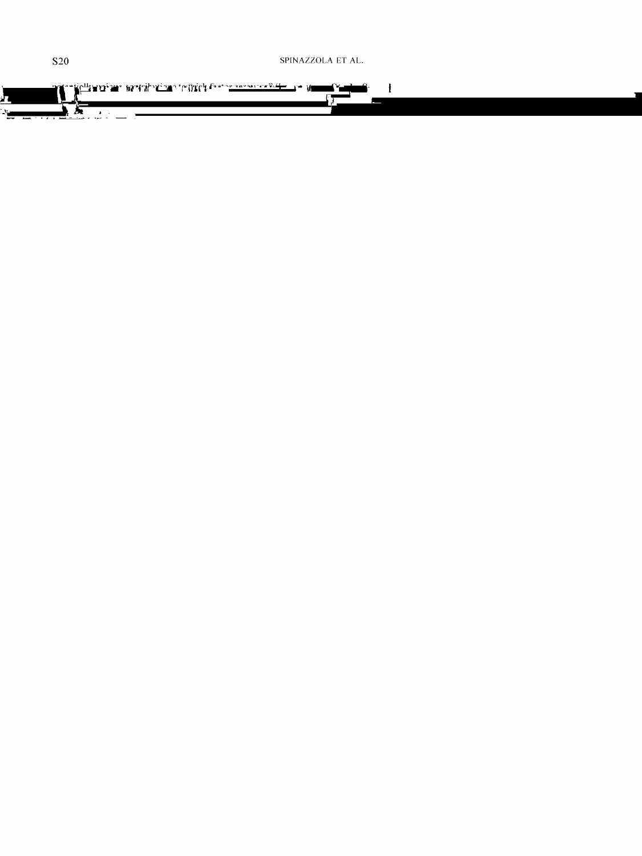| ${\bf S20}$                                                                               | SPINAZZOLA ET AL.                                                                                                                               |  |
|-------------------------------------------------------------------------------------------|-------------------------------------------------------------------------------------------------------------------------------------------------|--|
| $\sum_{n=1}^{\infty}$                                                                     | المحاديات المناكلة الأستر متعمسما متدعم والمتألفة أمع بمما لعينك لتتعملها متتقيل سيسلط الملعمة<br>$\sim$ $\sim$ $\sim$ $\sim$<br>$\blacksquare$ |  |
|                                                                                           |                                                                                                                                                 |  |
|                                                                                           |                                                                                                                                                 |  |
|                                                                                           |                                                                                                                                                 |  |
|                                                                                           |                                                                                                                                                 |  |
|                                                                                           |                                                                                                                                                 |  |
|                                                                                           |                                                                                                                                                 |  |
|                                                                                           |                                                                                                                                                 |  |
|                                                                                           |                                                                                                                                                 |  |
|                                                                                           |                                                                                                                                                 |  |
|                                                                                           |                                                                                                                                                 |  |
|                                                                                           |                                                                                                                                                 |  |
| <b>Section Advisor</b>                                                                    |                                                                                                                                                 |  |
|                                                                                           |                                                                                                                                                 |  |
| al., 2009, 2014).<br>建工                                                                   | $\blacksquare$<br>Let us a construction of the contraction of the contraction of<br>$D$ , it is interesting to $D$                              |  |
|                                                                                           |                                                                                                                                                 |  |
|                                                                                           |                                                                                                                                                 |  |
|                                                                                           |                                                                                                                                                 |  |
| तरा                                                                                       |                                                                                                                                                 |  |
|                                                                                           |                                                                                                                                                 |  |
|                                                                                           |                                                                                                                                                 |  |
| <u>ija d</u>                                                                              | <b>R</b>                                                                                                                                        |  |
|                                                                                           |                                                                                                                                                 |  |
| ⊏<br>$\sqrt{2}$                                                                           |                                                                                                                                                 |  |
|                                                                                           |                                                                                                                                                 |  |
| <u> 1140-a de de d</u><br>11 d <mark>e decembro de decembro</mark><br>5 de decembro de de |                                                                                                                                                 |  |
| $\overline{Y}$                                                                            |                                                                                                                                                 |  |
|                                                                                           |                                                                                                                                                 |  |
| ١ŧ,                                                                                       |                                                                                                                                                 |  |
|                                                                                           |                                                                                                                                                 |  |
|                                                                                           |                                                                                                                                                 |  |
|                                                                                           |                                                                                                                                                 |  |

j. -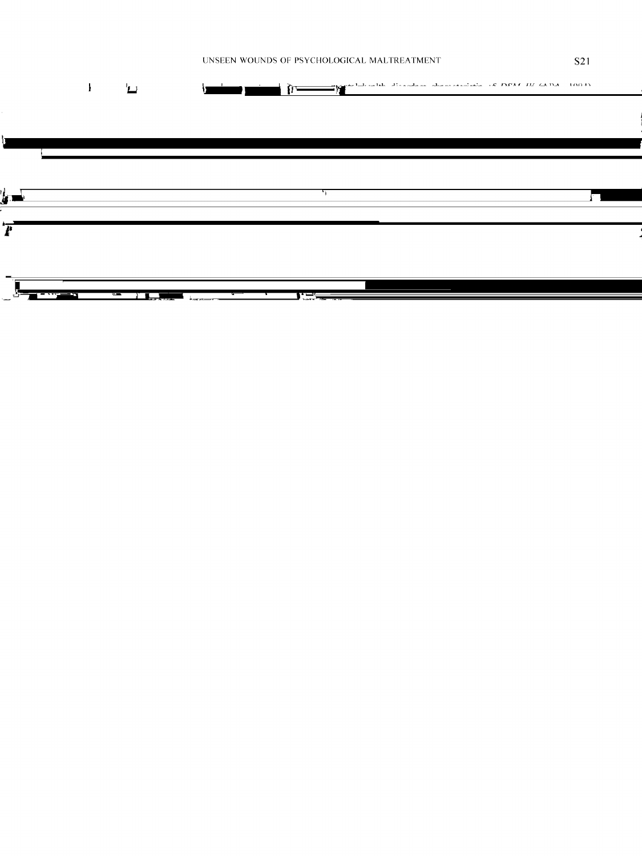## UNSEEN WOUNDS OF PSYCHOLOGICAL MALTREATMENT S21

| ⊼⊏                      | ┻                               |   | $\mathbf{L}$<br>$\mathbf{L}$ | $\rightarrow$                  |        | and an Indian and the selection of the contract of the DOM COVIDA (1900). |  |
|-------------------------|---------------------------------|---|------------------------------|--------------------------------|--------|---------------------------------------------------------------------------|--|
| $\blacksquare$          |                                 |   |                              |                                |        |                                                                           |  |
|                         |                                 |   |                              |                                |        |                                                                           |  |
|                         |                                 |   |                              |                                |        |                                                                           |  |
|                         |                                 |   |                              |                                |        |                                                                           |  |
|                         |                                 |   |                              |                                |        |                                                                           |  |
|                         |                                 |   |                              |                                |        |                                                                           |  |
|                         |                                 |   |                              |                                |        |                                                                           |  |
|                         |                                 |   |                              |                                |        |                                                                           |  |
| Γ                       | $\overline{1}$                  |   |                              |                                |        |                                                                           |  |
|                         |                                 |   |                              |                                |        |                                                                           |  |
| ;<br>)<br>)''           |                                 |   |                              |                                |        |                                                                           |  |
|                         |                                 |   |                              |                                |        |                                                                           |  |
| ģ                       |                                 |   |                              |                                |        |                                                                           |  |
|                         |                                 |   |                              |                                |        |                                                                           |  |
|                         |                                 |   |                              |                                |        |                                                                           |  |
| $\vec{r}$               |                                 |   |                              |                                |        |                                                                           |  |
|                         |                                 |   |                              |                                |        |                                                                           |  |
|                         |                                 |   |                              |                                |        |                                                                           |  |
|                         |                                 |   |                              |                                |        |                                                                           |  |
|                         |                                 |   |                              |                                |        |                                                                           |  |
|                         | .<br><del>스마이스 - 프리엔</del> - 프레 | т |                              | ÷.<br>$\overline{\phantom{a}}$ | ↽      |                                                                           |  |
|                         |                                 |   | $\sigma$ .                   |                                |        |                                                                           |  |
|                         |                                 |   |                              |                                |        |                                                                           |  |
|                         |                                 |   |                              |                                |        |                                                                           |  |
|                         |                                 |   |                              |                                |        |                                                                           |  |
|                         |                                 |   |                              |                                |        |                                                                           |  |
|                         |                                 |   |                              |                                |        |                                                                           |  |
|                         |                                 |   |                              |                                |        |                                                                           |  |
|                         |                                 |   |                              |                                |        |                                                                           |  |
|                         |                                 |   |                              |                                |        |                                                                           |  |
| U                       |                                 |   |                              |                                |        |                                                                           |  |
|                         |                                 |   |                              |                                |        |                                                                           |  |
|                         |                                 |   |                              |                                |        |                                                                           |  |
| $\Box$                  |                                 |   |                              |                                |        |                                                                           |  |
|                         |                                 |   |                              |                                |        |                                                                           |  |
| $\frac{1}{2}$           |                                 |   |                              |                                |        |                                                                           |  |
| $\equiv$                |                                 |   |                              |                                |        |                                                                           |  |
| $\frac{1}{2}$           |                                 |   |                              |                                |        |                                                                           |  |
|                         |                                 |   |                              |                                |        |                                                                           |  |
|                         | $\overline{a}$                  |   |                              |                                |        |                                                                           |  |
| $\frac{1}{\sqrt{2\pi}}$ |                                 |   |                              |                                |        |                                                                           |  |
|                         |                                 |   | $\overline{k-1}$             |                                | ر ⊻س ک |                                                                           |  |
| $\frac{1}{2}$           |                                 |   |                              |                                |        |                                                                           |  |
| $\mathbf{r}$ .          |                                 |   |                              |                                |        |                                                                           |  |
|                         |                                 |   |                              |                                |        |                                                                           |  |
|                         |                                 |   |                              |                                |        |                                                                           |  |
|                         |                                 |   |                              |                                |        |                                                                           |  |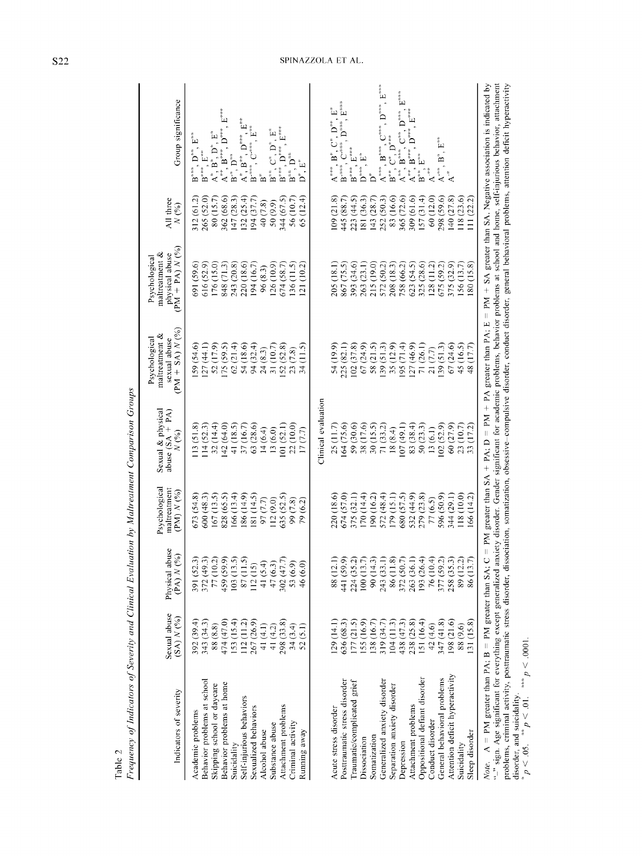|                                 | Sexual abuse             | Physical abuse                                                                                                                                                                                                               | Psychological<br>maltreatment | Sexual & physical<br>abuse $(SA + PA)$ | maltreatment &<br>Psychological<br>sexual abuse | maltreatment &<br>physical abuse<br>Psychological | All three                               |                                                                                                                                                                                                                                  |
|---------------------------------|--------------------------|------------------------------------------------------------------------------------------------------------------------------------------------------------------------------------------------------------------------------|-------------------------------|----------------------------------------|-------------------------------------------------|---------------------------------------------------|-----------------------------------------|----------------------------------------------------------------------------------------------------------------------------------------------------------------------------------------------------------------------------------|
| Indicators of severity          | $(SA) N$ (%)             | $(\mathbf{\tilde{PA}})$ N $(\mathcal{V}_0)$                                                                                                                                                                                  | (PM) N (%)                    | N(%)                                   | $(PM + SA) N$ (%)                               | $(PM + PA) N (%)$                                 | $N$ $\left(\!\!{\,}^{\rm o}\!\!\right)$ | Group significance                                                                                                                                                                                                               |
| Academic problems               | 392 (39.4)               |                                                                                                                                                                                                                              | 573 (54.8)                    | 13(51.8)                               | 59 (54.6)                                       | 591 (59.6)                                        | 312 (61.2)                              | $\overset{*}{\mathsf{D}}$<br>$\mathbf{B}^{***}$                                                                                                                                                                                  |
| Behavior problems at school     | 343 (34.3)               | 391 (52.3)<br>372 (49.3)<br>77 (10.2)<br>459 (59.9)<br>459 (59.5)<br>103 (11.5)<br>87 (11.5)                                                                                                                                 | 600 (48.3)                    | 114(52.3)                              | (27(44.1))                                      | 516 (52.9)                                        | 265 (52.0)                              | $\mathbf{B}^{***}$ , $\mathbf{E}^{***}$                                                                                                                                                                                          |
| Skipping school or daycare      | 88 (8.8)                 |                                                                                                                                                                                                                              | 167(13.5)                     | 32(14.4)                               | 52(17.9)                                        | (76(15.0))                                        | 80 (15.7)                               | $A^*$ , $B^*$ , $D^*$ , $E^*$<br>$\begin{array}{c} \left( \begin{array}{c} \mathbf{B}^{*}, \ \mathbf{B}^{*} \end{array} \right) \\ \mathbf{A}^{**}, \ \mathbf{B}^{***} \\ \mathbf{B}^{**} \end{array} \end{array}$               |
| Behavior problems at home       | 474 (47.0)               |                                                                                                                                                                                                                              | 828 (65.5)                    | 142 (64.0)                             | 175(59.5)                                       | 848 (71.3)                                        | 362 (68.6)                              | $\mathsf{F}^{***}$<br>$\stackrel{\cdot \cdot }{\cdot},\stackrel{\cdot }{\rm D}^{***}$                                                                                                                                            |
| Suicidality                     | 153(15.4)                |                                                                                                                                                                                                                              | 166(13.4)                     | 41 (18.5)                              | 62(21.4)                                        | 243 (20.8)                                        | 147(28.3)                               |                                                                                                                                                                                                                                  |
| Self-injurious behaviors        | 112 (11.2)<br>267 (26.9) |                                                                                                                                                                                                                              | $(6.41)$ 86                   | 37(16.7)                               | 54 (18.6)                                       | 220 (18.6)                                        | 132(25.4)                               | $D^{***}$ . $E^{***}$<br>$A^*$ , $B^*$ ,                                                                                                                                                                                         |
| Sexualized behaviors            |                          | 112(15)                                                                                                                                                                                                                      | (81(14.5))                    | 63(28.6)                               | 94(32.4)                                        | 194 (16.7)                                        | 194 (37.7)                              | $\cdot$ , $C^{***}$<br>$B$ <sup>-iii</sup>                                                                                                                                                                                       |
| Alcohol abuse                   | 41(4.1)                  | 41 (5.4)                                                                                                                                                                                                                     | 97 (7.7)                      | 14(6.4)                                | 24(8.3)                                         | 96 (8.3)                                          | 40 (7.8)                                | $\mathbf{B}^*$                                                                                                                                                                                                                   |
| Substance abuse                 | 41 $(4.2)$               | 47 (6.3)                                                                                                                                                                                                                     | 112(9.0)                      | 13(6.0)                                | 31(10.7)                                        | 126(10.9)                                         | 50 (9.9)                                | $C^*$ , $D^*$ ,<br>$B^*$ .                                                                                                                                                                                                       |
| Attachment problems             | 298 (33.8)               | 302 (47.7)                                                                                                                                                                                                                   | 635 (52.5)                    | 101(52.1)                              | 152 (52.8)                                      | 574 (58.7)                                        | 344 (67.5)                              | , $\mathbf{E}^{***}$<br>$\textbf{B}^{***}$ , $\textbf{D}^{***}$ ,                                                                                                                                                                |
| Criminal activity               | 34(3.4)                  | 53 (6.9)                                                                                                                                                                                                                     | 99 (7.8)                      | 22 (10.0)                              | 23(7.8)                                         | 136(11.5)                                         | 56 (10.7)                               | $\cdot$ , D <sup>##</sup><br>$B^*$                                                                                                                                                                                               |
| Running away                    | 52(5.1)                  | 46 (6.0                                                                                                                                                                                                                      | 79 (6.2)                      | 17(7.7)                                | 34(11.5)                                        | (10.2)<br>$\frac{1}{2}$                           | 65 (12.4)                               | $\mathbb H^*$<br>$\mathsf{D}^*$ .                                                                                                                                                                                                |
|                                 |                          |                                                                                                                                                                                                                              |                               | Clinical evaluation                    |                                                 |                                                   |                                         |                                                                                                                                                                                                                                  |
| Acute stress disorder           | 29(14.1)                 | 88 (12.1)                                                                                                                                                                                                                    | 220 (18.6)                    | 25 (11.7)                              | 54 (19.9)                                       | 205 (18.1)                                        | 109(21.8)                               |                                                                                                                                                                                                                                  |
| Posttraumatic stress disorder   | 636 (68.3)               | 441 (59.9)                                                                                                                                                                                                                   | 674 (57.0)                    | 164(75.6)                              | 225 (82.1)                                      | 867 (75.5)                                        | 445 (88.7)                              | $A^{***}, B^*, C^*, D^{**}, E^{**}$<br>B $^{***}$ , $C^{***}$ , $D^{***}$ , $E^{***}$<br>$\frac{1}{2}$ $\mathbf{C}^{\text{max}}$<br>$\mathbf{B}^{\text{+min}}$                                                                   |
| Traumatic/complicated grief     | 177(21.5)                |                                                                                                                                                                                                                              | 375 (32.1)                    | 59 (30.6)                              | (37.8)                                          | (34.6)<br>393(                                    | 223 (44.5)                              | $\mathbb{E}^{***}$<br>$\mathbf{B}^{***}$                                                                                                                                                                                         |
| Dissociation                    | 55 (16.9)                |                                                                                                                                                                                                                              | (70(14.4)                     | 38 (17.6)                              | 67(24.9)                                        | 263 (23.1)                                        | [81 (36.3)                              | $\mathbf{D}^{***}$                                                                                                                                                                                                               |
| Somatization                    | 138(16.7)                |                                                                                                                                                                                                                              | (90(16.2)                     | 30(15.5)                               | 58(21.5)                                        | 215 (19.0)                                        | 143(28.7)                               | ື້                                                                                                                                                                                                                               |
| Generalized anxiety disorder    | 319 (34.7)               | $\begin{array}{l} 224\,(35.2)\\ 100\,(13.7)\\ 90\,(14.3)\\ 90\,(14.3)\\ 243\,(33.1)\\ 86\,(11.8)\\ 372\,(50.7)\\ 193\,(26.4)\\ 76\,(10.4)\\ 76\,(10.4)\\ 77\,(59.2)\\ 377\,(59.2)\\ 377\,(59.2)\\ 377\,(59.2)\\ \end{array}$ | 572 (48.4)                    | 71 (33.2)                              | (39(51.3))                                      | 572 (50.2)                                        | 252 (50.3)                              | $\mathrm{A}^{\ast\ast\ast\ast}, \ \mathrm{B}^{\ast\ast\ast}, \ \mathrm{C}^{\ast\ast\ast}, \ \mathrm{D}^{\ast\ast\ast}, \ \mathrm{E}^{\ast\ast\ast}$<br>$\mathrm{B}^{\ast\ast}, \ \mathrm{C}^{\ast}, \ \mathsf{D}^{\ast\ast\ast}$ |
| Separation anxiety disorder     | 104(11.3)                |                                                                                                                                                                                                                              | 179(15.1)                     | 18(8.4)                                | 35(12.9)                                        | 208 (18.3)<br>758 (66.2)                          | 83 (16.6)                               |                                                                                                                                                                                                                                  |
| Depression                      | 438 (47.3)               |                                                                                                                                                                                                                              | 680 (57.5)                    | (07(49.1))                             | (95(71.4)                                       |                                                   | 365 (72.6)                              | $\mathbf{D}^{***}$<br>, $\mathbf{B}^{***}$<br>$\mathbf{A}^{**}$                                                                                                                                                                  |
| Attachment problems             | 238 (25.8)               |                                                                                                                                                                                                                              | 532 (44.9)                    | 83 (38.4)                              | 127(46.9)                                       | 623 (54.5)                                        | 309 (61.6)                              | $\cdot$ , E <sup>***</sup><br>$\cdot$ , D <sup>***</sup><br>$\mathbf{B}^{\ast\ast\ast}$<br>$A^{**}$                                                                                                                              |
| Oppositional defiant disorder   | 51 (16.4)                |                                                                                                                                                                                                                              | 279 (23.8)                    | 50(23.3)                               | 71(26.1)                                        | 325 (28.6)                                        | 157(31.4)                               | $\mathbf{E}^*$<br>$B^*$ .                                                                                                                                                                                                        |
| Conduct disorder                | 42 (4.6)                 |                                                                                                                                                                                                                              | 77 (6.5)                      | 13(6.1)                                | 21(7.7)                                         | 128(11.2)                                         | 60 (12.0)                               | $A^{-**}$                                                                                                                                                                                                                        |
| General behavioral problems     | 347 (41.8)               |                                                                                                                                                                                                                              | 596 (50.9)                    | 02(52.9)                               | 139(51.3)                                       | 675 (59.2)                                        | 298 (59.6)                              | $\begin{array}{c} \mathbb{A}^{^{^{m_{\ast}}}}, \mathbf{B}^{^{n}}, \mathbf{E}^{^{m\ast}}\\ \mathbb{A}^{^{m}_{\ast}} \end{array}$                                                                                                  |
| Attention deficit hyperactivity | (98 (21.6)               | 258 (35.3)                                                                                                                                                                                                                   | 344 (29.1)                    | 60 (27.9)                              | 67(24.6)                                        | 375 (32.9)                                        | (40(27.8))                              |                                                                                                                                                                                                                                  |
| Suicidality                     | 88 (9.6)                 | 89(12.2)                                                                                                                                                                                                                     | 118 (10.0)                    | 23 (10.7)                              | 45(16.5)                                        | 156(13.7)                                         | 118(23.6)                               |                                                                                                                                                                                                                                  |
| Sleep disorder                  | 31(15.8)                 | E<br>86 (13.                                                                                                                                                                                                                 | 166(14.2)                     | 33(17.2)                               | 48 (17.7)                                       | 80(15.8)                                          | (11(22.2))                              |                                                                                                                                                                                                                                  |

V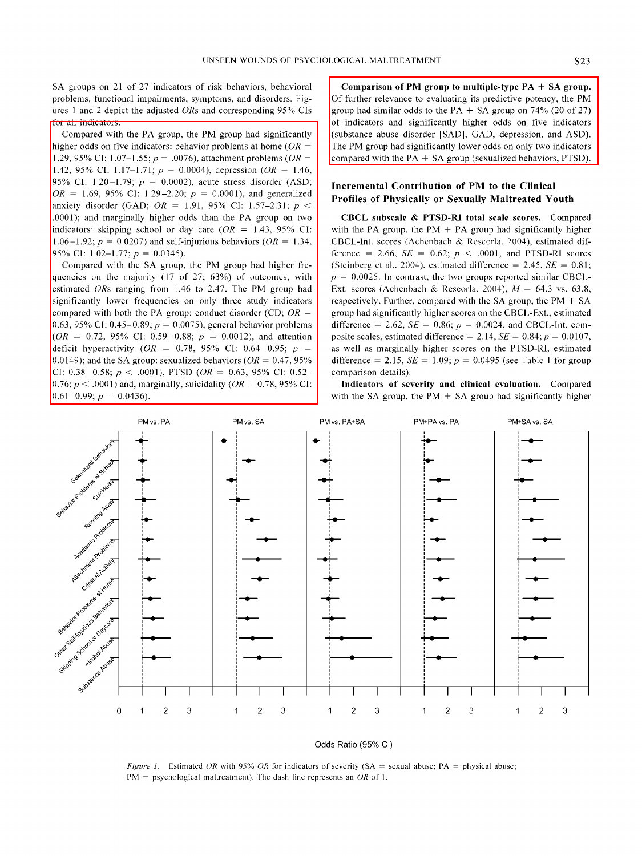SA groups on 21 of 27 indicators of risk behaviors, behavioral problems, functional impairments, symptoms, and disorders. Figures 1 and *2* depict the adjusted *ORs* and corresponding *95%* CIs for all indicators.

Compared with the PA group, the PM group had significantly higher odds on five indicators: behavior problems at home *(OR =*  1.29, 95% Cl: *1.07-1.55;* p = .0076), attachment problems *(OR =*  1.42, 95% Cl: 1.17-1.71; p = 0.0004), depression *(OR =* 1.46, 95% CI: 1.20–1.79;  $p = 0.0002$ ), acute stress disorder (ASD;  $OR = 1.69, 95\%$  CI: 1.29-2.20;  $p = 0.0001$ ), and generalized anxiety disorder (GAD; *OR =* 1.91, 95% Cl: 1.57-2.31; p < .0001); and marginally higher odds than the PA group on two indicators: skipping school or day care *(OR =* 1.43, 95% Cl: 1.06-1.92;  $p = 0.0207$ ) and self-injurious behaviors ( $OR = 1.34$ , 95% CI: 1.02–1.77;  $p = 0.0345$ ).

Compared with the SA group, the PM group had higher frequencies on the majority (17 of 27; 63%) of outcomes, with estimated *ORs* ranging from 1.46 to 2.47. The PM group had significantly lower frequencies on only three study indicators compared with both the PA group: conduct disorder (CD; *OR =*   $[0.63, 95\% \text{ CI}: 0.45-0.89; p = 0.0075)$ , general behavior problems  $(OR = 0.72, 95\% \text{ CI: } 0.59-0.88; p = 0.0012)$ , and attention deficit hyperactivity  $(OR = 0.78, 95\% \text{ CI: } 0.64-0.95; p =$  $[0.0149)$ ; and the SA group: sexualized behaviors  $(OR = 0.47, 95\%)$ Cl: 0.38-0.58; p < .0001), PTSD *(OR =* 0.63, 95% Cl: 0.52-  $0.76; p < .0001$ ) and, marginally, suicidality (*OR* = 0.78, 95% CI:  $0.61-0.99; p = 0.0436$ .

Comparison of PM group to multiple-type PA  $+$  SA group. Of further relevance to evaluating its predictive potency, the PM group had similar odds to the  $PA + SA$  group on 74% (20 of 27) of indicators and significantly higher odds on five indicators (substance abuse disorder [SAD], GAD, depression, and ASD). The PM group had significantly lower odds on only two indicators compared with the  $PA + SA$  group (sexualized behaviors, PTSD).

## **Incremental Contribution of PM to the Clinical Profiles of Physically or Sexually Maltreated Youth**

**CBCL subscale** & **PTSD-RI total scale scores.** Compared with the PA group, the PM  $+$  PA group had significantly higher CBCL-Int. scores (Achenbach & Rescorla. *2004),* estimated difference = 2.66,  $SE = 0.62$ ;  $p < .0001$ , and PTSD-RI scores (Steinberg et al., 2004), estimated difference  $= 2.45$ ,  $SE = 0.81$ ;  $p = 0.0025$ . In contrast, the two groups reported similar CBCL-Ext. scores (Achenhach & Rescorla, *2004), M* = 64.3 vs. 63.8, respectively. Further, compared with the SA group, the  $PM + SA$ group had significantly higher scores on the CBCL-Ext., estimated difference = 2.62, *SE* = 0.86;  $p = 0.0024$ , and CBCL-lnt. composite scales, estimated difference  $= 2.14$ ,  $SE = 0.84$ ;  $p = 0.0107$ , as well as marginally higher scores on the PTSD-RI, estimated difference = 2.15,  $SE = 1.09$ ;  $p = 0.0495$  (see Table 1 for group comparison details).

**Indicators of severity and clinical evaluation.** Compared with the SA group, the PM  $+$  SA group had significantly higher



#### Odds Ratio (95% CI)

*Figure 1.* Estimated *OR* with 95% *OR* for indicators of severity (SA = sexual abuse; PA = physical abuse; PM = psychological maltreatment). The dash line represents an *OR* of *I.*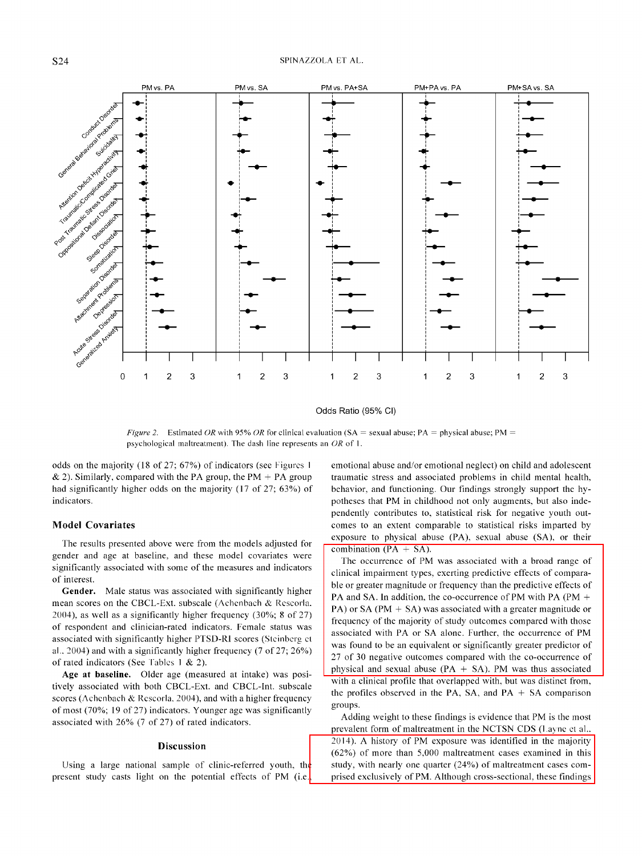

#### Odds Ratio (95% CI)

*Figure 2.* Estimated *OR* with *95% OR* for clinical evaluation (SA = sexual abuse; PA = physical abuse; *PM =*  psychological maltreatment). The dash line represents an *OR of 1.* 

odds on the majority (18 of 27; 67%) of indicators (see Figures 1  $\&$  2). Similarly, compared with the PA group, the PM + PA group had significantly higher odds on the majority (17 of 27; 63%) of indicators.

#### **Model Covariates**

The results presented above were from the models adjusted for gender and age at baseline, and these model covariates were significantly associated with some of the measures and indicators of interest.

**Gender.** Male status was associated with significantly higher mean scores on the CBCL-Ext. subscale (Achcnbach & Rescorla. 2004), as well as a significantly higher frequency (30%; 8 of 27) of respondent and clinician-rated indicators. Female status was associated with significantly higher PTSD-R1 scores (Steinberg ci al., 2004) and with a significantly higher frequency (7 of 27; 26%) of rated indicators (See Tables I & 2).

**Age at baseline.** Older age (measured at intake) was positively associated with both CBCL-Ext. and CBCL-Int. subscale scores (Achcnbach & Rcscorla, 2004), and with a higher frequency of most (70%; 19 of 27) indicators. Younger age was significantly associated with 26% (7 of 27) of rated indicators.

#### **Discussion**

Using a large national sample of clinic-referred youth, the present study casts light on the potential effects of PM (i.e.,

emotional abuse and/or emotional neglect) on child and adolescent traumatic stress and associated problems in child mental health, behavior, and functioning. Our findings strongly support the hypotheses that PM in childhood not only augments, but also independently contributes to, statistical risk for negative youth outcomes to an extent comparable to statistical risks imparted by exposure to physical abuse (PA), sexual abuse (SA), or their combination  $(PA + SA)$ .

The occurrence of PM was associated with a broad range of clinical impairment types, exerting predictive effects of comparable or greater magnitude or frequency than the predictive effects of PA and SA. In addition, the co-occurrence of PM with PA (PM  $+$ PA) or SA (PM  $+$  SA) was associated with a greater magnitude or frequency of the majority of study outcomes compared with those associated with PA or SA alone. Further, the occurrence of PM was found to be an equivalent or significantly greater predictor of 27 of 30 negative outcomes compared with the co-occurrence of physical and sexual abuse  $(PA + SA)$ . PM was thus associated with a clinical profile that overlapped with, but was distinct from, the profiles observed in the PA, SA, and  $PA + SA$  comparison groups.

Adding weight to these findings is evidence that PM is the most prevalent form of maltreatment in the NCTSN CDS (Layne et al.. 2014). A history of PM exposure was identified in the majority (62%) of more than *5,000* maltreatment cases examined in this study, with nearly one quarter (24%) of maltreatment cases comprised exclusively of PM. Although cross-sectional, these findings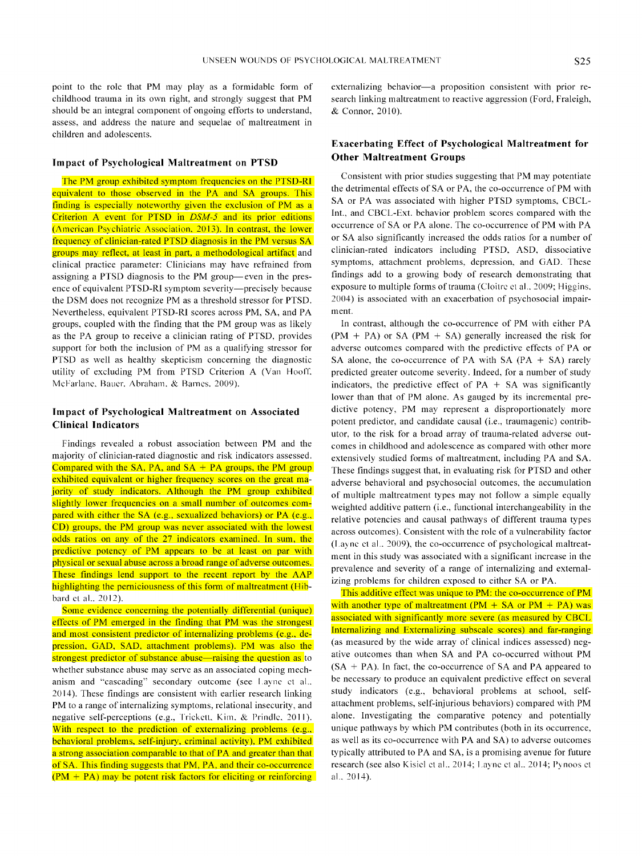point to the role that PM may play as a formidable form of childhood trauma in its own right, and strongly suggest that PM should be an integral component of ongoing efforts to understand, assess, and address the nature and sequelae of maltreatment in children and adolescents.

#### **Impact of Psychological Maltreatment on PTSD**

The PM group exhibited symptom frequencies on the PTSD-R1 equivalent to those observed in the PA and SA groups. This finding is especially noteworthy given the exclusion of PM as a Criterion A event for PTSD in *DSM-5* and its prior editions (American Psychiatric Association, 2013). In contrast, the lower frequency of clinician-rated PTSD diagnosis in the PM versus SA groups may reflect, at least in part, a methodological artifact and clinical practice parameter: Clinicians may have refrained from assigning a PTSD diagnosis to the PM group—even in the presence of equivalent PTSD-R1 symptom severity—precisely because the DSM does not recognize PM as a threshold stressor for PTSD. Nevertheless, equivalent PTSD-R1 scores across PM, SA, and PA groups, coupled with the finding that the PM group was as likely as the PA group to receive a clinician rating of PTSD, provides support for both the inclusion of PM as a qualifying stressor for PTSD as well as healthy skepticism concerning the diagnostic utility of excluding PM from PTSD Criterion A (Van HoolT. McFarlane, Hauer. Abraham. & Barnes. 2009).

### **Impact of Psychological Maltreatment on Associated Clinical Indicators**

Findings revealed a robust association between PM and the majority of clinician-rated diagnostic and risk indicators assessed. Compared with the SA, PA, and  $SA + PA$  groups, the PM group exhibited equivalent or higher frequency scores on the great majority of study indicators. Although the PM group exhibited slightly lower frequencies on a small number of outcomes compared with either the SA (e.g., sexualized behaviors) or PA (e.g., CD) groups, the PM group was never associated with the lowest odds ratios on any of the 27 indicators examined. In sum, the predictive potency of PM appears to be at least on par with physical or sexual abuse across a broad range of adverse outcomes. These findings lend support to the recent report by the AAP highlighting the perniciousness of this form of maltreatment (Hibbard et al., 2012).

Some evidence concerning the potentially differential (unique) effects of PM emerged in the finding that PM was the strongest and most consistent predictor of internalizing problems (e.g., depression, GAD, SAD, attachment problems). PM was also the strongest predictor of substance abuse—raising the question as to whether substance abuse may serve as an associated coping mechanism and "cascading" secondary outcome (see Iayne et al.. 2014). These findings are consistent with earlier research linking PM to a range of internalizing symptoms, relational insecurity, and negative self-perceptions (e.g., Irickeit, Kim. & Prindle, 2011). With respect to the prediction of externalizing problems (e.g., behavioral problems, self-injury, criminal activity), PM exhibited a strong association comparable to that of PA and greater than that of SA. This finding suggests that PM, PA, and their co-occurrence  $(PM + PA)$  may be potent risk factors for eliciting or reinforcing externalizing behavior—a proposition consistent with prior research linking maltreatment to reactive aggression (Ford, Fraleigh, & Connor, 2010).

## **Exacerbating Effect of Psychological Maltreatment for Other Maltreatment Groups**

Consistent with prior studies suggesting that PM may potentiate the detrimental effects of SA or PA, the co-occurrence of PM with SA or PA was associated with higher PTSD symptoms, CBCL-Int., and CBCL-Ext. behavior problem scores compared with the occurrence of SA or PA alone. The co-occurrence of PM with PA or SA also significantly increased the odds ratios for a number of clinician-rated indicators including PTSD, ASD, dissociative symptoms, attachment problems, depression, and GAD. These findings add to a growing body of research demonstrating that exposure to multiple forms of trauma (Cloitre et al., 2009; Higgins. 2004) is associated with an exacerbation of psychosocial impairment.

In contrast, although the co-occurrence of PM with either PA  $(PM + PA)$  or SA  $(PM + SA)$  generally increased the risk for adverse outcomes compared with the predictive effects of PA or SA alone, the co-occurrence of PA with SA  $(PA + SA)$  rarely predicted greater outcome severity. Indeed, for a number of study indicators, the predictive effect of  $PA + SA$  was significantly lower than that of PM alone. As gauged by its incremental predictive potency, PM may represent a disproportionately more potent predictor, and candidate causal (i.e., traumagenic) contributor, to the risk for a broad array of trauma-related adverse outcomes in childhood and adolescence as compared with other more extensively studied forms of maltreatment, including PA and SA. These findings suggest that, in evaluating risk for PTSD and other adverse behavioral and psychosocial outcomes, the accumulation of multiple maltreatment types may not follow a simple equally weighted additive pattern (i.e., functional interchangeability in the relative potencies and causal pathways of different trauma types across outcomes). Consistent with the role of a vulnerability factor (Layne et al., 2009), the co-occurrence of psychological maltreatment in this study was associated with a significant increase in the prevalence and severity of a range of internalizing and externalizing problems for children exposed to either SA or PA.

This additive effect was unique to PM: the co-occurrence of PM with another type of maltreatment (PM  $+$  SA or PM  $+$  PA) was associated with significantly more severe (as measured by CBCL Internalizing and Externalizing subscale scores) and far-ranging (as measured by the wide array of clinical indices assessed) negative outcomes than when SA and PA co-occurred without PM  $(SA + PA)$ . In fact, the co-occurrence of SA and PA appeared to be necessary to produce an equivalent predictive effect on several study indicators (e.g., behavioral problems at school, selfattachment problems, self-injurious behaviors) compared with PM alone. Investigating the comparative potency and potentially unique pathways by which PM contributes (both in its occurrence, as well as its co-occurrence with PA and SA) to adverse outcomes typically attributed to PA and SA, is a promising avenue for future research (see also Kisiel et al., 2014; Layne et al., 2014; Pynoos et al. 2014).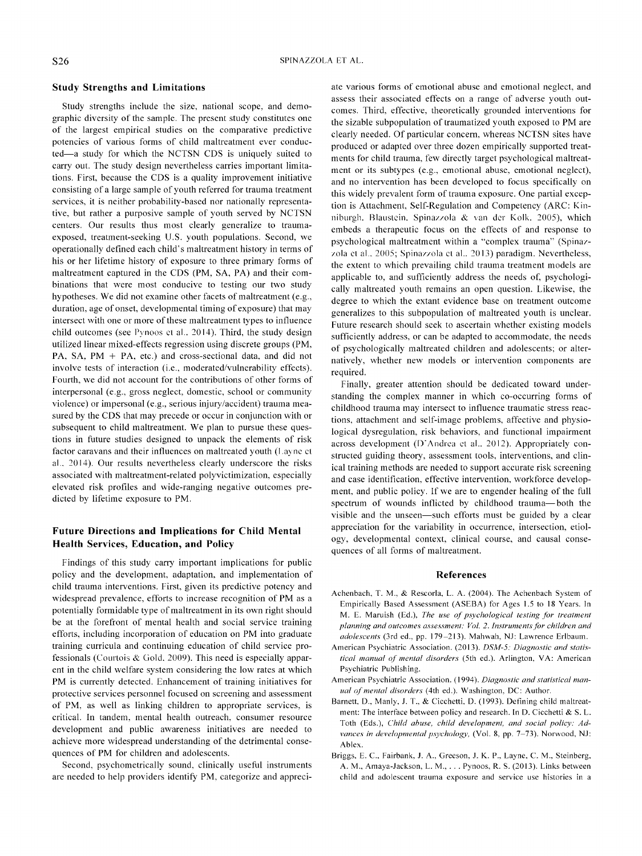#### **Study Strengths and Limitations**

Study strengths include the size, national scope, and demographic diversity of the sample. The present study constitutes one of the largest empirical studies on the comparative predictive potencies of various forms of child maltreatment ever conducted—a study for which the NCTSN CDS is uniquely suited to carry out. The study design nevertheless carries important limitations. First, because the CDS is a quality improvement initiative consisting of a large sample of youth referred for trauma treatment services, it is neither probability-based nor nationally representative, but rather a purposive sample of youth served by NCTSN centers. Our results thus most clearly generalize to traumaexposed, treatment-seeking U.S. youth populations. Second, we operationally defined each child's maltreatment history in terms of his or her lifetime history of exposure to three primary forms of maltreatment captured in the CDS (PM, SA, PA) and their combinations that were most conducive to testing our two study hypotheses. We did not examine other facets of maltreatment (e.g., duration, age of onset, developmental timing of exposure) that may intersect with one or more of these maltreatment types to influence child outcomes (see Pynoos et al., 2014). Third, the study design utilized linear mixed-effects regression using discrete groups (PM, PA, SA, PM + PA, etc.) and cross-sectional data, and did not involve tests of interaction (i.e., moderated/vulnerability effects). Fourth, we did not account for the contributions of other forms of interpersonal (e.g., gross neglect, domestic, school or community violence) or impersonal (e.g., serious injury/accident) trauma measured by the CDS that may precede or occur in conjunction with or subsequent to child maltreatment. We plan to pursue these questions in future studies designed to unpack the elements of risk factor caravans and their influences on maltreated youth (Layne et al., 2014). Our results nevertheless clearly underscore the risks associated with maltreatment-related polyvictimization, especially elevated risk profiles and wide-ranging negative outcomes predicted by lifetime exposure to PM.

## **Future Directions and Implications for Child Mental Health Services, Education, and Policy**

Findings of this study carry important implications for public policy and the development, adaptation, and implementation of child trauma interventions. First, given its predictive potency and widespread prevalence, efforts to increase recognition of PM as a potentially formidable type of maltreatment in its own right should be at the forefront of mental health and social service training efforts, including incorporation of education on PM into graduate training curricula and continuing education of child service professionals (Courtois & Gold, 2009). This need is especially apparent in the child welfare system considering the low rates at which PM is currently detected. Enhancement of training initiatives for protective services personnel focused on screening and assessment of PM, as well as linking children to appropriate services, is critical. In tandem, mental health outreach, consumer resource development and public awareness initiatives are needed to achieve more widespread understanding of the detrimental consequences of PM for children and adolescents.

Second, psychometrically sound, clinically useful instruments are needed to help providers identify PM, categorize and appreciate various forms of emotional abuse and emotional neglect, and assess their associated effects on a range of adverse youth outcomes. Third, effective, theoretically grounded interventions for the sizable subpopulation of traumatized youth exposed to PM are clearly needed. Of particular concern, whereas NCTSN sites have produced or adapted over three dozen empirically supported treatments for child trauma, few directly target psychological maltreatment or its subtypes (e.g., emotional abuse, emotional neglect), and no intervention has been developed to focus specifically on this widely prevalent form of trauma exposure. One partial exception is Attachment, Self-Regulation and Competency (ARC: Kinniburgh. Blaustein. Spinazzola & van der Kolk. 2005), which embeds a therapeutic focus on the effects of and response to psychological maltreatment within a "complex trauma" (Spinazzola et al., 2005; Spinazzola et al., 2013) paradigm. Nevertheless, the extent to which prevailing child trauma treatment models are applicable to, and sufficiently address the needs of, psychologically maltreated youth remains an open question. Likewise, the degree to which the extant evidence base on treatment outcome generalizes to this subpopulation of maltreated youth is unclear. Future research should seek to ascertain whether existing models sufficiently address, or can be adapted to accommodate, the needs of psychologically maltreated children and adolescents; or alternatively, whether new models or intervention components are required.

Finally, greater attention should be dedicated toward understanding the complex manner in which co-occurring forms of childhood trauma may intersect to influence traumatic stress reactions, attachment and self-image problems, affective and physiological dysregulation, risk behaviors, and functional impairment across development (D'Andrea et al., 2012). Appropriately constructed guiding theory, assessment tools, interventions, and clinical training methods are needed to support accurate risk screening and case identification, effective intervention, workforce development, and public policy. If we are to engender healing of the full spectrum of wounds inflicted by childhood trauma—both the visible and the unseen—such efforts must be guided by a clear appreciation for the variability in occurrence, intersection, etiology, developmental context, clinical course, and causal consequences of all forms of maltreatment.

#### **References**

- Achenbach, T. M., & Rescorla, L. A. (2004). The Achenbach System of Empirically Based Assessment (ASEBA) for Ages 1.5 to 18 Years. In *M. E. Maruish (Ed.), The use of psychological testing for treatment planning and outcomes assessment: Vol. 2. Instruments for children and adolescents* (3rd ed., pp. 179-213). Mahwah, NJ: Lawrence Erlbaum.
- American Psychiatric Association. (2013). *DSM-5: Diagnostic and statistical manual of mental disorders* (5th ed.). Arlington, VA: American Psychiatric Publishing.
- American Psychiatric Association. (1994). *Diagnostic and statistical manual of mental disorders* (4th ed.). Washington, DC: Author.
- Barnett, D., Manly, J. T., & Cicchetti, D. (1993). Defining child maltreatment: The interface between policy and research. In D. Cicchetti & S. L. Toth (Eds.), *Child abuse, child development, and social policy: Advances in developmental psychology,* (Vol. 8, pp. 7-73). Norwood, NJ: Ablex.
- Briggs, E. C., Fairbank, J. A., Greeson, J. K. P., Layne, C. M., Steinberg, A. M., Amaya-Jackson, L. M..... Pynoos, R. S. (2013). Links between child and adolescent trauma exposure and service use histories in a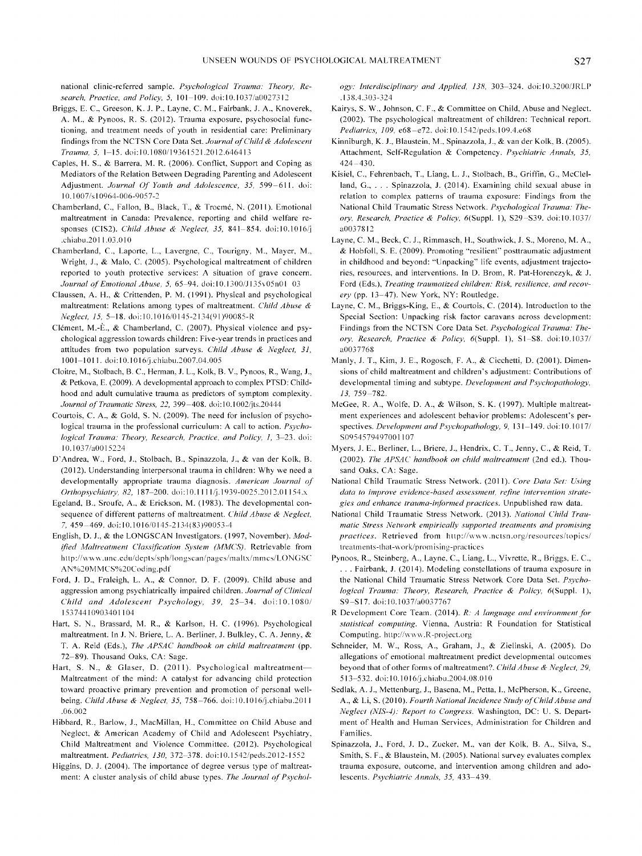national clinic-referred sample. *Psychological Trauma: Theory, Research, Practice, and Policy, 5,* 101-109. doi: l0.l 037/a00273 12

- Briggs, E. C., Greeson, K. J. P., Layne, C. M., Fairbank, J. A., Knoverek, A. M., & Pynoos, R. S. (2012). Trauma exposure, psychosocial functioning, and treatment needs of youth in residential care: Preliminary findings from the NCTSN Core Data Set. *Journal of Child & Adolescent Trauma, 5,* 1-15. doi: 10.1080/19361521 .2012.6464 13
- Caples, H. S., & Barrera, M. R. (2006). Conflict, Support and Coping as Mediators of the Relation Between Degrading Parenting and Adolescent *Adjustment. Journal Of Youth and Adolescence, 35,* 599-611. doi: 10.1 007/s 10964-006-9057-2
- Chamberland, C., Fallon, B., Black, T., & Trocmé, N. (2011). Emotional maltreatment in Canada: Prevalence, reporting and child welfare responses (CIS2). *Child Abuse & Neglect*, 35, 841-854. doi:10.1016/j .ch iabu .2011.03.010
- Chamberland, C., Laporte, L., Lavergne, C., Tourigny, M., Mayer, M., Wright, J., & Malo, C. (2005). Psychological maltreatment of children reported to youth protective services: A situation of grave concern. *Journal of Emotional Abuse, 5, 65-94. doi:10.1300/J135v05n01 03*
- C!aussen, A. H., & Crittenden, P. M. (1991). Physical and psychological maltreatment: Relations among types of maltreatment. *Child Abuse & Neglect, 15,* 5-18. doi:l0.1016/0145-2134(91)90085-R
- Clement, M.-E., & Chamberland, C. (2007). Physical violence and psychological aggression towards children: Five-year trends in practices and attitudes from two population surveys. *Child Abuse & Neglect, 31,*  1001-1011. doi: 10.101 6/j.chiabu.2007.04.005
- Cloitre, M., Stolbach, B. C., Herman, J. L., Kolk, B. V., Pynoos, R., Wang, J., & Petkova, E. (2009). A developmental approach to complex PTSD: Childhood and adult cumulative trauma as predictors of symptom complexity. *Journal of Traumatic Stress, 22,* 399-408. doi: 10. 1 002/jts.20444
- Courtois, C. A., & Gold, S. N. (2009). The need for inclusion of psychological trauma in the professional curriculum: A call to action. *Psychological Trauma: Theory, Research, Practice, and Policy, 1, 3-23. doi:* 10.1 037/aOOl 5224
- D'Andrea, W., Ford, J., Stolbach, B., Spinazzola, J., & van der Kolk, B. (2012). Understanding interpersonal trauma in children: Why we need a developmentally appropriate trauma diagnosis. *American Journal of ()rthopsychiatry, 82,* 187-200. doi: 10.111l/j.1939-0025.2012.01154.x
- Egeland, B., Sroufe, A., & Erickson, M. (1983). The developmental consequence of different patterns of maltreatment. *Child Abuse & Neglect,*  7, 459-469. doi:10.1016/0145-2134(83)90053-4
- English, D. J., & the LONGSCAN Investigators. (1997, November). *Modified Maltreatment Classification System (MMCS)*. Retrievable from http://www.unc.edu/depts/sph/longscan/pages/maltx/mmcs/LONGSC AN%20MMCS%2oCoding.pdf
- Ford, J. D., Fraleigh, L. A., & Connor, D. F. (2009). Child abuse and aggression among psychiatrically impaired children. *Journal of Clinical Child and Adolescent Psychology, 39,* 25-34. doi: 10.1 080/ 15374410903401104
- Hart, S. N., Brassard, M. R., & Karlson, H. C. (1996). Psychological maltreatment. In J. N. Briere, L. A. Berliner, J. Bulkley, C. A. Jenny, & *T. A. Reid (Eds.), The APSAC handbook on child maltreatment (pp.*  72-89). Thousand Oaks, CA: Sage.
- Hart, S. N., & Glaser, D. (2011). Psychological maltreatment-Maltreatment of the mind: A catalyst for advancing child protection toward proactive primary prevention and promotion of persona! wellbeing. *ChildAhuse & Neglect, 35, 758-766.* doi:10.1016/j.chiabu.201 I .06.002
- Hibbard, R., Barlow, J., MacMillan, H., Committee on Child Abuse and Neglect, & American Academy of Child and Adolescent Psychiatry, Child Maltreatment and Violence Committee. (2012). Psychological maltreatment. *Pediatrics, 130,* 372-378. doi: 10.1 542/peds.20 12-1552
- Higgins, D. J. (2004). The importance of degree versus type of maltreatment: A cluster analysis of child abuse types. *The Journal of Psychol-*

*ogy: Interdisciplinary and Applied, 138,* 303-324. doi:l0.3200/JRLP .138.4.303-324

- Kairys, S. W., Johnson, C. F., & Committee on Child, Abuse and Neglect. (2002). The psychological maltreatment of children: Technical report. *Pediatrics, 109,* e68-e72. doi: 10.1 542/peds. I 09.4.e68
- Kinniburgh, K. J., Blaustein, M., Spinazzola, J., & van der Kolk, B. (2005). Attachment, Self-Regulation & Competency. *Psychiatric Annals, 35,*  424-430.
- Kisiel, C., Fehrenbach, T., Liang, L. J., Stolbach, B., Griffin, G., McClelland, G., ... Spinazzola, J. (2014). Examining child sexual abuse in relation to complex patterns of trauma exposure: Findings from the National Child Traumatic Stress Network. *Psychological Trauma: Theory, Research, Practice & Policy, 6(Supp!. 1),* S29-S39. doi:10.1037/ a0037812
- Layne, C. M., Beck, C. J., Rimmasch, H., Southwick, J. S., Moreno, M. A., & Hobfoll, S. E. (2009). Promoting 'resilient" postiraumatic adjustment in childhood and beyond: 'Unpacking" life events, adjustment trajectories, resources, and interventions. In D. Brom, R. Pat-Horenczyk, & J. Ford (Eds.), *Treating traumatized children: Risk, resilience, and recovery* (pp. 13–47). New York, NY: Routledge.
- Layne, C. M., Briggs-King, E., & Courtois, C. (2014). Introduction to the Special Section: Unpacking risk factor caravans across development: Findings from the NCTSN Core Data Set. *Psychological Trauma: Theory, Research, Practice & Policy, 6(Suppl. 1), S!*-S8. doi:10.1037/ a0037768
- Manly, J. T., Kim, J. E., Rogosch, F. A., & Cicchetti, D. (2001). Dimensions of child maltreatment and children's adjustment: Contributions of developmental timing and subtype. *Development and Psychopathology, 13,* 759-782.
- McGee, R. A., Wolfe, D. A., & Wilson, S. K. (1997). Multiple maltreatment experiences and adolescent behavior problems: Adolescent's perspectives. *Development and Psychopathology*, 9, 131-149. doi:10.1017/ S0954579497001107
- Myers, J. E., Berliner, L., Briere, J., Hendrix, C. T., Jenny, C., & Reid, T. (2002). *The APSAC handbook on child maltreatment* (2nd ed.). Thousand Oaks, CA: Sage.
- National Child Traumatic Stress Network. (2011). *Core Data Set: Using data to improve evidence-based assessment, refine intervention strategies and enhance trauma-informed practices.* Unpublished raw data.
- National Child Traumatic Stress Network. (2013). *National Child Traumatic Stress Network empirically supported treatments and promising practices.* Retrieved from http://www.nctsn.org/resources/topics/ treatments-that-work/promising-practices
- Pynoos, R., Steinberg, A., Layne, C., Liang, L., Vivrette, R., Briggs, E. C., Fairbank, J. (2014). Modeling constellations of trauma exposure in the National Child Traumatic Stress Network Core Data Set. *Psychological Trauma: Theory, Research, Practice & Policy, 6(Supp!. I),*  S9-S17. doi:10.1037/a0037767
- R Development Core Team. (2014). *R: A language and environment for statistical computing.* Vienna, Austria: R Foundation for Statistical Computing. http://www.R-project.org
- Schneider, M. W., Ross, A., Graham, J., & Zielinski, A. (2005). Do allegations of emotional maltreatment predict developmental outcomes beyond that of other forms of maltreatment?. *ChildAhuse & Neglect, 29,*  513-532. doi:10.1016/j.chiabu.2004.08.010
- Sedlak, A. J., Mettenburg, J., Basena, M., Petta, I., McPherson, K., Greene, A., & Li, S. (2010). Fourth National Incidence Study of Child Ahuse and *Neglect (NIS--I): Report to Congress.* Washington, DC: U. S. Department of Health and Human Services, Administration for Children and Families.
- Spinazzola, J., Ford, J. D., Zucker, M., van der Kolk, B. A., Silva, S., Smith, S. F., & Blaustein, M. (2005). National survey evaluates complex trauma exposure, outcome, and intervention among children and ado*lescents. Psychiatric Annals, 35,* 433-439.